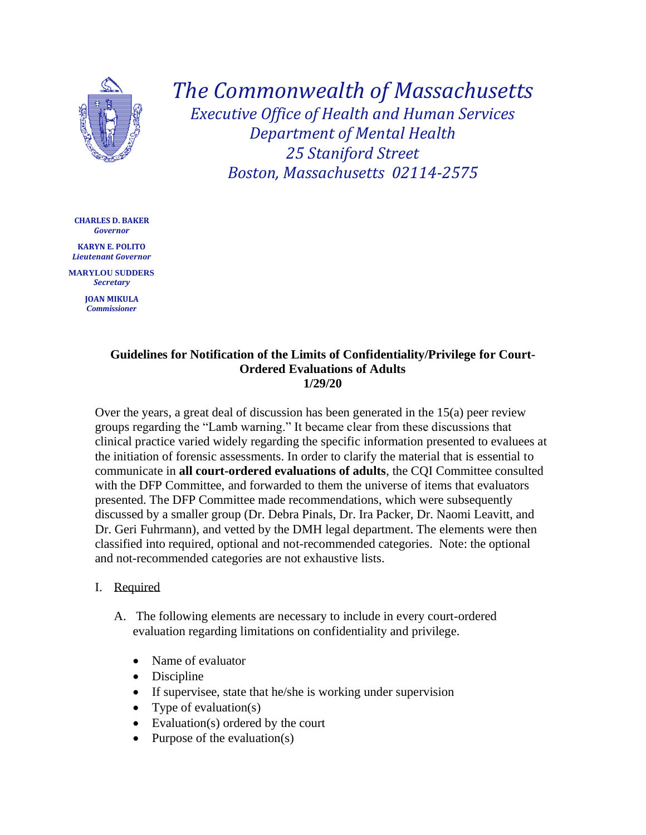

*The Commonwealth of Massachusetts Executive Office of Health and Human Services Department of Mental Health 25 Staniford Street Boston, Massachusetts 02114-2575*

**CHARLES D. BAKER** *Governor*

**KARYN E. POLITO** *Lieutenant Governor*

**MARYLOU SUDDERS** *Secretary*

> **JOAN MIKULA** *Commissioner*

### **Guidelines for Notification of the Limits of Confidentiality/Privilege for Court-Ordered Evaluations of Adults 1/29/20**

Over the years, a great deal of discussion has been generated in the 15(a) peer review groups regarding the "Lamb warning." It became clear from these discussions that clinical practice varied widely regarding the specific information presented to evaluees at the initiation of forensic assessments. In order to clarify the material that is essential to communicate in **all court-ordered evaluations of adults**, the CQI Committee consulted with the DFP Committee, and forwarded to them the universe of items that evaluators presented. The DFP Committee made recommendations, which were subsequently discussed by a smaller group (Dr. Debra Pinals, Dr. Ira Packer, Dr. Naomi Leavitt, and Dr. Geri Fuhrmann), and vetted by the DMH legal department. The elements were then classified into required, optional and not-recommended categories. Note: the optional and not-recommended categories are not exhaustive lists.

## I. Required

- A. The following elements are necessary to include in every court-ordered evaluation regarding limitations on confidentiality and privilege.
	- Name of evaluator
	- Discipline
	- If supervisee, state that he/she is working under supervision
	- Type of evaluation(s)
	- Evaluation(s) ordered by the court
	- Purpose of the evaluation $(s)$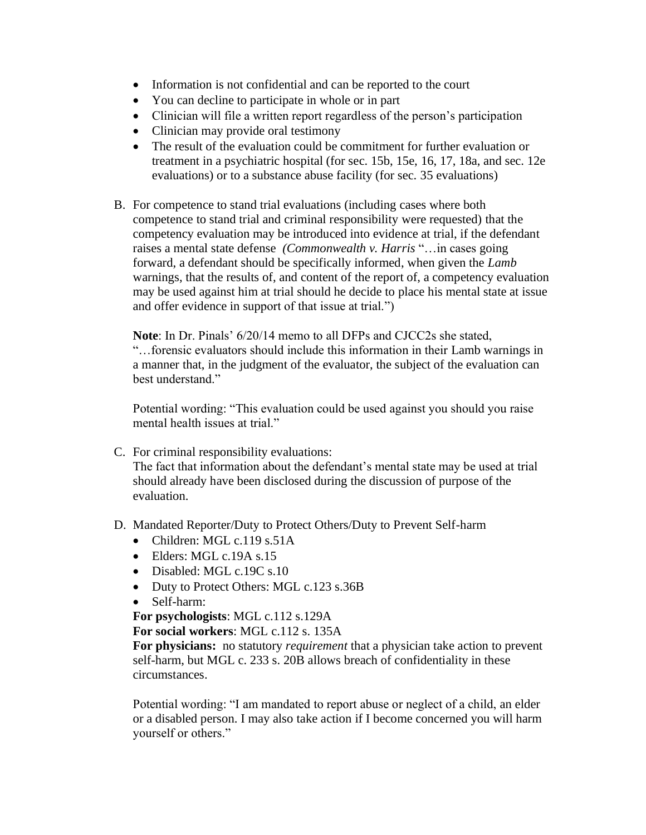- Information is not confidential and can be reported to the court
- You can decline to participate in whole or in part
- Clinician will file a written report regardless of the person's participation
- Clinician may provide oral testimony
- The result of the evaluation could be commitment for further evaluation or treatment in a psychiatric hospital (for sec. 15b, 15e, 16, 17, 18a, and sec. 12e evaluations) or to a substance abuse facility (for sec. 35 evaluations)
- B. For competence to stand trial evaluations (including cases where both competence to stand trial and criminal responsibility were requested) that the competency evaluation may be introduced into evidence at trial, if the defendant raises a mental state defense *(Commonwealth v. Harris* "…in cases going forward, a defendant should be specifically informed, when given the *Lamb* warnings, that the results of, and content of the report of, a competency evaluation may be used against him at trial should he decide to place his mental state at issue and offer evidence in support of that issue at trial.")

**Note**: In Dr. Pinals' 6/20/14 memo to all DFPs and CJCC2s she stated, "…forensic evaluators should include this information in their Lamb warnings in a manner that, in the judgment of the evaluator, the subject of the evaluation can best understand."

Potential wording: "This evaluation could be used against you should you raise mental health issues at trial."

C. For criminal responsibility evaluations:

The fact that information about the defendant's mental state may be used at trial should already have been disclosed during the discussion of purpose of the evaluation.

- D. Mandated Reporter/Duty to Protect Others/Duty to Prevent Self-harm
	- Children: MGL c.119 s.51A
	- Elders: MGL c.19A s.15
	- Disabled: MGL c.19C s.10
	- Duty to Protect Others: MGL c.123 s.36B
	- Self-harm:

**For psychologists**: MGL c.112 s.129A

**For social workers**: MGL c.112 s. 135A

**For physicians:** no statutory *requirement* that a physician take action to prevent self-harm, but MGL c. 233 s. 20B allows breach of confidentiality in these circumstances.

Potential wording: "I am mandated to report abuse or neglect of a child, an elder or a disabled person. I may also take action if I become concerned you will harm yourself or others."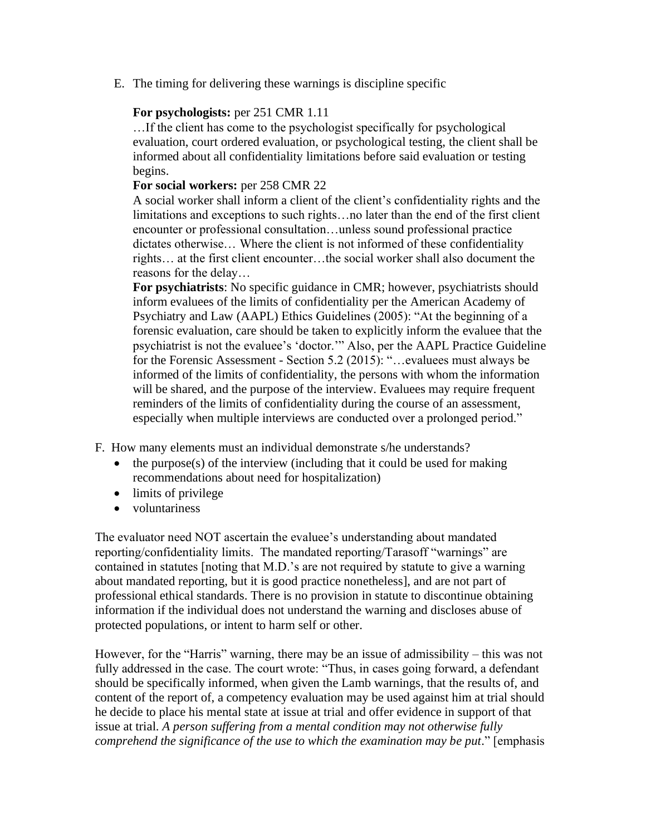E. The timing for delivering these warnings is discipline specific

## **For psychologists:** per 251 CMR 1.11

…If the client has come to the psychologist specifically for psychological evaluation, court ordered evaluation, or psychological testing, the client shall be informed about all confidentiality limitations before said evaluation or testing begins.

### **For social workers:** per 258 CMR 22

A social worker shall inform a client of the client's confidentiality rights and the limitations and exceptions to such rights…no later than the end of the first client encounter or professional consultation…unless sound professional practice dictates otherwise… Where the client is not informed of these confidentiality rights… at the first client encounter…the social worker shall also document the reasons for the delay…

**For psychiatrists**: No specific guidance in CMR; however, psychiatrists should inform evaluees of the limits of confidentiality per the American Academy of Psychiatry and Law (AAPL) Ethics Guidelines (2005): "At the beginning of a forensic evaluation, care should be taken to explicitly inform the evaluee that the psychiatrist is not the evaluee's 'doctor.'" Also, per the AAPL Practice Guideline for the Forensic Assessment - Section 5.2 (2015): "…evaluees must always be informed of the limits of confidentiality, the persons with whom the information will be shared, and the purpose of the interview. Evaluees may require frequent reminders of the limits of confidentiality during the course of an assessment, especially when multiple interviews are conducted over a prolonged period."

F. How many elements must an individual demonstrate s/he understands?

- the purpose(s) of the interview (including that it could be used for making recommendations about need for hospitalization)
- limits of privilege
- voluntariness

The evaluator need NOT ascertain the evaluee's understanding about mandated reporting/confidentiality limits. The mandated reporting/Tarasoff "warnings" are contained in statutes [noting that M.D.'s are not required by statute to give a warning about mandated reporting, but it is good practice nonetheless], and are not part of professional ethical standards. There is no provision in statute to discontinue obtaining information if the individual does not understand the warning and discloses abuse of protected populations, or intent to harm self or other.

However, for the "Harris" warning, there may be an issue of admissibility – this was not fully addressed in the case. The court wrote: "Thus, in cases going forward, a defendant should be specifically informed, when given the Lamb warnings, that the results of, and content of the report of, a competency evaluation may be used against him at trial should he decide to place his mental state at issue at trial and offer evidence in support of that issue at trial. *A person suffering from a mental condition may not otherwise fully comprehend the significance of the use to which the examination may be put*." [emphasis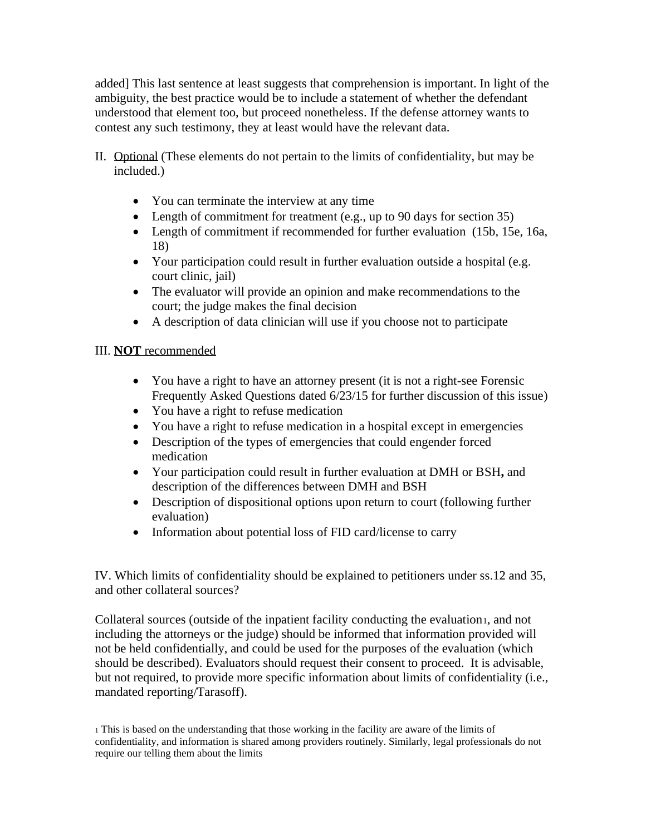added] This last sentence at least suggests that comprehension is important. In light of the ambiguity, the best practice would be to include a statement of whether the defendant understood that element too, but proceed nonetheless. If the defense attorney wants to contest any such testimony, they at least would have the relevant data.

- II. Optional (These elements do not pertain to the limits of confidentiality, but may be included.)
	- You can terminate the interview at any time
	- Length of commitment for treatment (e.g., up to 90 days for section 35)
	- Length of commitment if recommended for further evaluation (15b, 15e, 16a, 18)
	- Your participation could result in further evaluation outside a hospital (e.g. court clinic, jail)
	- The evaluator will provide an opinion and make recommendations to the court; the judge makes the final decision
	- A description of data clinician will use if you choose not to participate

# III. **NOT** recommended

- You have a right to have an attorney present (it is not a right-see Forensic Frequently Asked Questions dated 6/23/15 for further discussion of this issue)
- You have a right to refuse medication
- You have a right to refuse medication in a hospital except in emergencies
- Description of the types of emergencies that could engender forced medication
- Your participation could result in further evaluation at DMH or BSH**,** and description of the differences between DMH and BSH
- Description of dispositional options upon return to court (following further evaluation)
- Information about potential loss of FID card/license to carry

IV. Which limits of confidentiality should be explained to petitioners under ss.12 and 35, and other collateral sources?

Collateral sources (outside of the inpatient facility conducting the evaluation1, and not including the attorneys or the judge) should be informed that information provided will not be held confidentially, and could be used for the purposes of the evaluation (which should be described). Evaluators should request their consent to proceed. It is advisable, but not required, to provide more specific information about limits of confidentiality (i.e., mandated reporting/Tarasoff).

<sup>1</sup> This is based on the understanding that those working in the facility are aware of the limits of confidentiality, and information is shared among providers routinely. Similarly, legal professionals do not require our telling them about the limits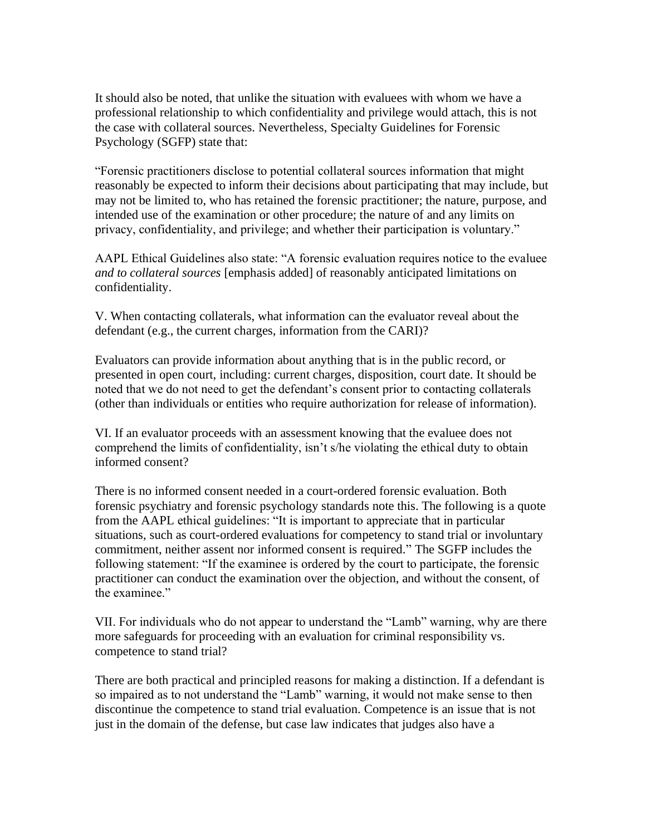It should also be noted, that unlike the situation with evaluees with whom we have a professional relationship to which confidentiality and privilege would attach, this is not the case with collateral sources. Nevertheless, Specialty Guidelines for Forensic Psychology (SGFP) state that:

"Forensic practitioners disclose to potential collateral sources information that might reasonably be expected to inform their decisions about participating that may include, but may not be limited to, who has retained the forensic practitioner; the nature, purpose, and intended use of the examination or other procedure; the nature of and any limits on privacy, confidentiality, and privilege; and whether their participation is voluntary."

AAPL Ethical Guidelines also state: "A forensic evaluation requires notice to the evaluee *and to collateral sources* [emphasis added] of reasonably anticipated limitations on confidentiality.

V. When contacting collaterals, what information can the evaluator reveal about the defendant (e.g., the current charges, information from the CARI)?

Evaluators can provide information about anything that is in the public record, or presented in open court, including: current charges, disposition, court date. It should be noted that we do not need to get the defendant's consent prior to contacting collaterals (other than individuals or entities who require authorization for release of information).

VI. If an evaluator proceeds with an assessment knowing that the evaluee does not comprehend the limits of confidentiality, isn't s/he violating the ethical duty to obtain informed consent?

There is no informed consent needed in a court-ordered forensic evaluation. Both forensic psychiatry and forensic psychology standards note this. The following is a quote from the AAPL ethical guidelines: "It is important to appreciate that in particular situations, such as court-ordered evaluations for competency to stand trial or involuntary commitment, neither assent nor informed consent is required." The SGFP includes the following statement: "If the examinee is ordered by the court to participate, the forensic practitioner can conduct the examination over the objection, and without the consent, of the examinee."

VII. For individuals who do not appear to understand the "Lamb" warning, why are there more safeguards for proceeding with an evaluation for criminal responsibility vs. competence to stand trial?

There are both practical and principled reasons for making a distinction. If a defendant is so impaired as to not understand the "Lamb" warning, it would not make sense to then discontinue the competence to stand trial evaluation. Competence is an issue that is not just in the domain of the defense, but case law indicates that judges also have a